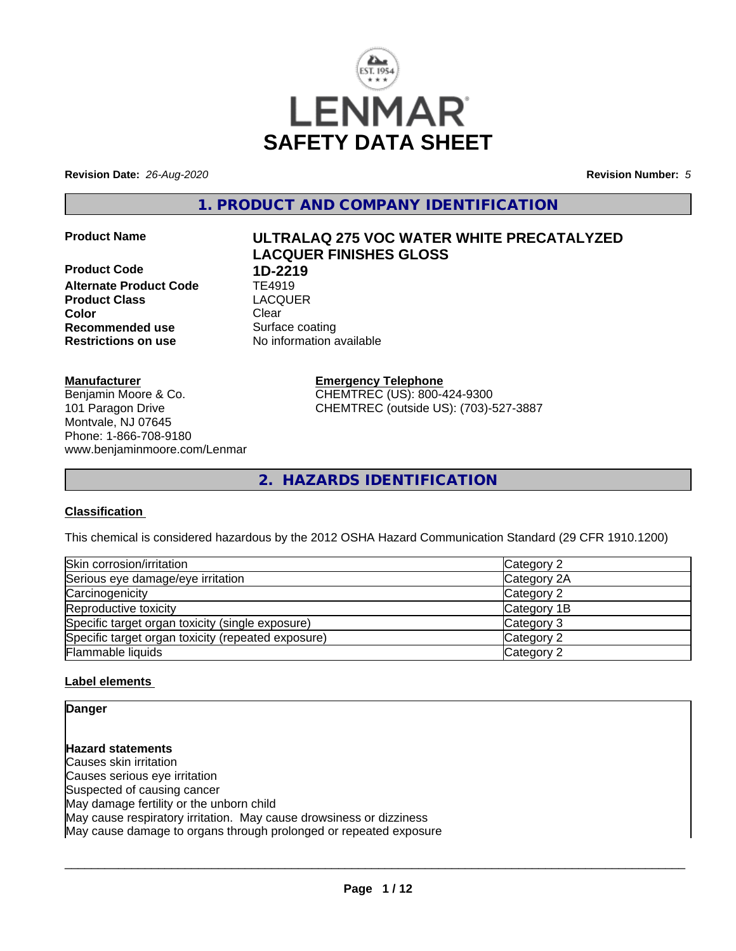

**Revision Date:** *26-Aug-2020* **Revision Number:** *5*

**1. PRODUCT AND COMPANY IDENTIFICATION**

**Product Code 1D-2219**<br>**Alternate Product Code** TE4919 **Alternate Product Code TE4919**<br> **Product Class TEACGUER Product Class Color** Clear Clear **Recommended use** Surface coating **Restrictions on use** No information available

# **Product Name ULTRALAQ 275 VOC WATER WHITE PRECATALYZED LACQUER FINISHES GLOSS**

**Manufacturer**

Benjamin Moore & Co. 101 Paragon Drive Montvale, NJ 07645 Phone: 1-866-708-9180 www.benjaminmoore.com/Lenmar **Emergency Telephone** CHEMTREC (US): 800-424-9300 CHEMTREC (outside US): (703)-527-3887

**2. HAZARDS IDENTIFICATION**

#### **Classification**

This chemical is considered hazardous by the 2012 OSHA Hazard Communication Standard (29 CFR 1910.1200)

| Skin corrosion/irritation                          | Category 2  |
|----------------------------------------------------|-------------|
| Serious eye damage/eye irritation                  | Category 2A |
| Carcinogenicity                                    | Category 2  |
| Reproductive toxicity                              | Category 1B |
| Specific target organ toxicity (single exposure)   | Category 3  |
| Specific target organ toxicity (repeated exposure) | Category 2  |
| Flammable liquids                                  | Category 2  |

#### **Label elements**

**Danger**

**Hazard statements** Causes skin irritation Causes serious eye irritation Suspected of causing cancer May damage fertility or the unborn child May cause respiratory irritation. May cause drowsiness or dizziness May cause damage to organs through prolonged or repeated exposure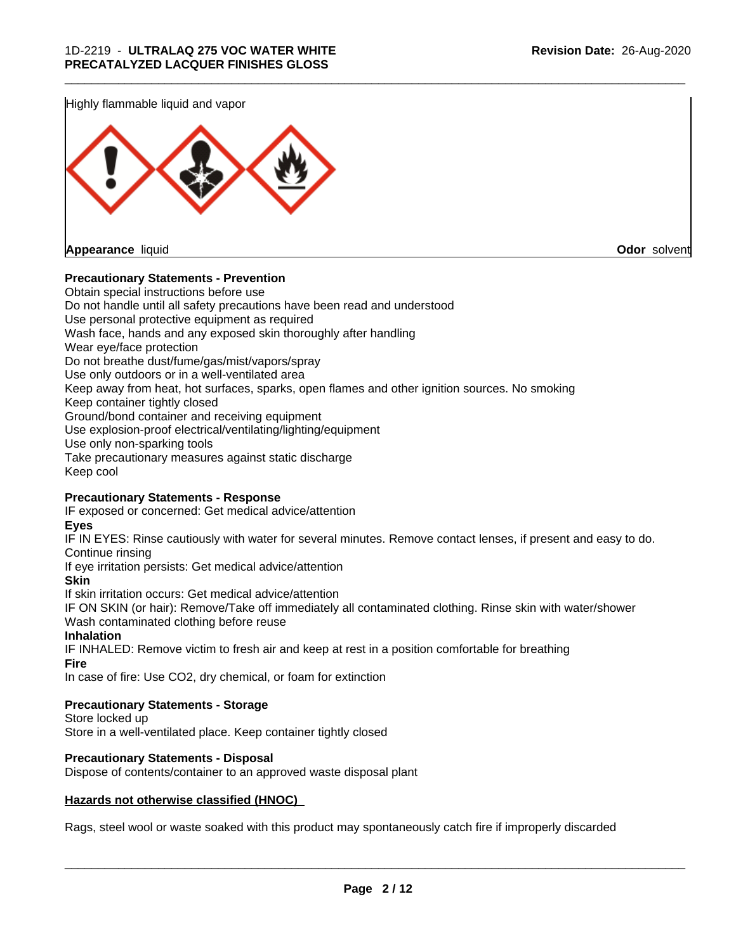Highly flammable liquid and vapor



#### **Precautionary Statements - Prevention**

Obtain special instructions before use Do not handle until all safety precautions have been read and understood Use personal protective equipment as required Wash face, hands and any exposed skin thoroughly after handling Wear eye/face protection Do not breathe dust/fume/gas/mist/vapors/spray Use only outdoors or in a well-ventilated area Keep away from heat, hot surfaces, sparks, open flames and other ignition sources. No smoking Keep container tightly closed Ground/bond container and receiving equipment Use explosion-proof electrical/ventilating/lighting/equipment Use only non-sparking tools Take precautionary measures against static discharge Keep cool

\_\_\_\_\_\_\_\_\_\_\_\_\_\_\_\_\_\_\_\_\_\_\_\_\_\_\_\_\_\_\_\_\_\_\_\_\_\_\_\_\_\_\_\_\_\_\_\_\_\_\_\_\_\_\_\_\_\_\_\_\_\_\_\_\_\_\_\_\_\_\_\_\_\_\_\_\_\_\_\_\_\_\_\_\_\_\_\_\_\_\_\_\_

#### **Precautionary Statements - Response**

IF exposed or concerned: Get medical advice/attention

**Eyes**

IF IN EYES: Rinse cautiously with water for several minutes. Remove contact lenses, if present and easy to do. Continue rinsing

If eye irritation persists: Get medical advice/attention

**Skin**

If skin irritation occurs: Get medical advice/attention

IF ON SKIN (or hair): Remove/Take off immediately all contaminated clothing. Rinse skin with water/shower Wash contaminated clothing before reuse

#### **Inhalation**

IF INHALED: Remove victim to fresh air and keep at rest in a position comfortable for breathing **Fire**

In case of fire: Use CO2, dry chemical, or foam for extinction

#### **Precautionary Statements - Storage**

Store locked up Store in a well-ventilated place. Keep container tightly closed

#### **Precautionary Statements - Disposal**

Dispose of contents/container to an approved waste disposal plant

#### **Hazards not otherwise classified (HNOC)**

Rags, steel wool or waste soaked with this product may spontaneously catch fire if improperly discarded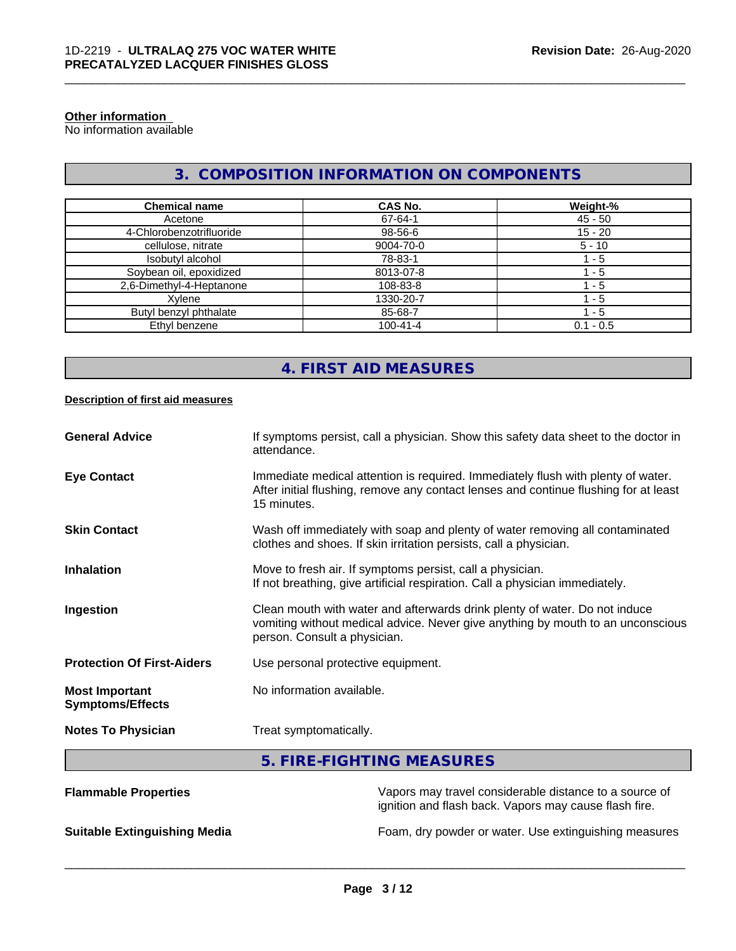#### **Other information**

No information available

# **3. COMPOSITION INFORMATION ON COMPONENTS**

\_\_\_\_\_\_\_\_\_\_\_\_\_\_\_\_\_\_\_\_\_\_\_\_\_\_\_\_\_\_\_\_\_\_\_\_\_\_\_\_\_\_\_\_\_\_\_\_\_\_\_\_\_\_\_\_\_\_\_\_\_\_\_\_\_\_\_\_\_\_\_\_\_\_\_\_\_\_\_\_\_\_\_\_\_\_\_\_\_\_\_\_\_

| <b>Chemical name</b>     | <b>CAS No.</b> | Weight-%    |
|--------------------------|----------------|-------------|
| Acetone                  | 67-64-1        | $45 - 50$   |
| 4-Chlorobenzotrifluoride | 98-56-6        | $15 - 20$   |
| cellulose, nitrate       | 9004-70-0      | $5 - 10$    |
| Isobutyl alcohol         | 78-83-1        | - 5         |
| Soybean oil, epoxidized  | 8013-07-8      | - 5         |
| 2,6-Dimethyl-4-Heptanone | 108-83-8       | - 5         |
| Xvlene                   | 1330-20-7      | - 5         |
| Butyl benzyl phthalate   | 85-68-7        | 1 - 5       |
| Ethyl benzene            | $100 - 41 - 4$ | $0.1 - 0.5$ |

# **4. FIRST AID MEASURES**

#### **Description of first aid measures**

| Immediate medical attention is required. Immediately flush with plenty of water.<br>After initial flushing, remove any contact lenses and continue flushing for at least<br>15 minutes.<br>Wash off immediately with soap and plenty of water removing all contaminated<br>clothes and shoes. If skin irritation persists, call a physician.<br>Move to fresh air. If symptoms persist, call a physician.<br>If not breathing, give artificial respiration. Call a physician immediately.<br>Clean mouth with water and afterwards drink plenty of water. Do not induce<br>vomiting without medical advice. Never give anything by mouth to an unconscious<br>person. Consult a physician.<br>Use personal protective equipment.<br>No information available.<br>Treat symptomatically. | <b>General Advice</b>                            | If symptoms persist, call a physician. Show this safety data sheet to the doctor in<br>attendance. |
|-----------------------------------------------------------------------------------------------------------------------------------------------------------------------------------------------------------------------------------------------------------------------------------------------------------------------------------------------------------------------------------------------------------------------------------------------------------------------------------------------------------------------------------------------------------------------------------------------------------------------------------------------------------------------------------------------------------------------------------------------------------------------------------------|--------------------------------------------------|----------------------------------------------------------------------------------------------------|
|                                                                                                                                                                                                                                                                                                                                                                                                                                                                                                                                                                                                                                                                                                                                                                                         | <b>Eye Contact</b>                               |                                                                                                    |
|                                                                                                                                                                                                                                                                                                                                                                                                                                                                                                                                                                                                                                                                                                                                                                                         | <b>Skin Contact</b>                              |                                                                                                    |
|                                                                                                                                                                                                                                                                                                                                                                                                                                                                                                                                                                                                                                                                                                                                                                                         | <b>Inhalation</b>                                |                                                                                                    |
|                                                                                                                                                                                                                                                                                                                                                                                                                                                                                                                                                                                                                                                                                                                                                                                         | Ingestion                                        |                                                                                                    |
|                                                                                                                                                                                                                                                                                                                                                                                                                                                                                                                                                                                                                                                                                                                                                                                         | <b>Protection Of First-Aiders</b>                |                                                                                                    |
|                                                                                                                                                                                                                                                                                                                                                                                                                                                                                                                                                                                                                                                                                                                                                                                         | <b>Most Important</b><br><b>Symptoms/Effects</b> |                                                                                                    |
|                                                                                                                                                                                                                                                                                                                                                                                                                                                                                                                                                                                                                                                                                                                                                                                         | <b>Notes To Physician</b>                        |                                                                                                    |

# **5. FIRE-FIGHTING MEASURES**

| <b>Flammable Properties</b>         | Vapors may travel considerable distance to a source of<br>ignition and flash back. Vapors may cause flash fire. |
|-------------------------------------|-----------------------------------------------------------------------------------------------------------------|
| <b>Suitable Extinguishing Media</b> | Foam, dry powder or water. Use extinguishing measures                                                           |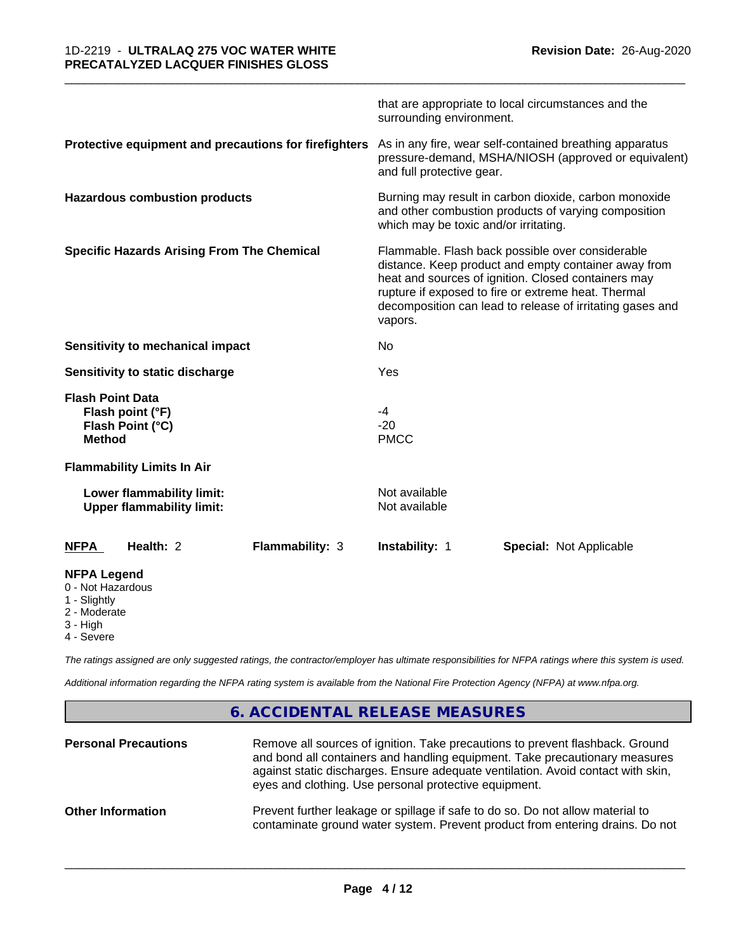|                                                                                     | that are appropriate to local circumstances and the<br>surrounding environment.                                                                                                                                                                                                                |  |
|-------------------------------------------------------------------------------------|------------------------------------------------------------------------------------------------------------------------------------------------------------------------------------------------------------------------------------------------------------------------------------------------|--|
| Protective equipment and precautions for firefighters                               | As in any fire, wear self-contained breathing apparatus<br>pressure-demand, MSHA/NIOSH (approved or equivalent)<br>and full protective gear.                                                                                                                                                   |  |
| <b>Hazardous combustion products</b>                                                | Burning may result in carbon dioxide, carbon monoxide<br>and other combustion products of varying composition<br>which may be toxic and/or irritating.                                                                                                                                         |  |
| <b>Specific Hazards Arising From The Chemical</b>                                   | Flammable. Flash back possible over considerable<br>distance. Keep product and empty container away from<br>heat and sources of ignition. Closed containers may<br>rupture if exposed to fire or extreme heat. Thermal<br>decomposition can lead to release of irritating gases and<br>vapors. |  |
| Sensitivity to mechanical impact                                                    | No                                                                                                                                                                                                                                                                                             |  |
| Sensitivity to static discharge                                                     | Yes                                                                                                                                                                                                                                                                                            |  |
| <b>Flash Point Data</b><br>Flash point (°F)<br>Flash Point (°C)<br><b>Method</b>    | $-4$<br>$-20$<br><b>PMCC</b>                                                                                                                                                                                                                                                                   |  |
| <b>Flammability Limits In Air</b>                                                   |                                                                                                                                                                                                                                                                                                |  |
| Lower flammability limit:<br><b>Upper flammability limit:</b>                       | Not available<br>Not available                                                                                                                                                                                                                                                                 |  |
| Health: 2<br>Flammability: 3<br><b>NFPA</b>                                         | <b>Instability: 1</b><br><b>Special: Not Applicable</b>                                                                                                                                                                                                                                        |  |
| <b>NFPA Legend</b><br>0 - Not Hazardous<br>1 - Slightly<br>2 - Moderate<br>3 - High |                                                                                                                                                                                                                                                                                                |  |

\_\_\_\_\_\_\_\_\_\_\_\_\_\_\_\_\_\_\_\_\_\_\_\_\_\_\_\_\_\_\_\_\_\_\_\_\_\_\_\_\_\_\_\_\_\_\_\_\_\_\_\_\_\_\_\_\_\_\_\_\_\_\_\_\_\_\_\_\_\_\_\_\_\_\_\_\_\_\_\_\_\_\_\_\_\_\_\_\_\_\_\_\_

4 - Severe

*The ratings assigned are only suggested ratings, the contractor/employer has ultimate responsibilities for NFPA ratings where this system is used.*

*Additional information regarding the NFPA rating system is available from the National Fire Protection Agency (NFPA) at www.nfpa.org.*

# **6. ACCIDENTAL RELEASE MEASURES**

| <b>Personal Precautions</b> | Remove all sources of ignition. Take precautions to prevent flashback. Ground<br>and bond all containers and handling equipment. Take precautionary measures<br>against static discharges. Ensure adequate ventilation. Avoid contact with skin,<br>eyes and clothing. Use personal protective equipment. |
|-----------------------------|-----------------------------------------------------------------------------------------------------------------------------------------------------------------------------------------------------------------------------------------------------------------------------------------------------------|
| <b>Other Information</b>    | Prevent further leakage or spillage if safe to do so. Do not allow material to<br>contaminate ground water system. Prevent product from entering drains. Do not                                                                                                                                           |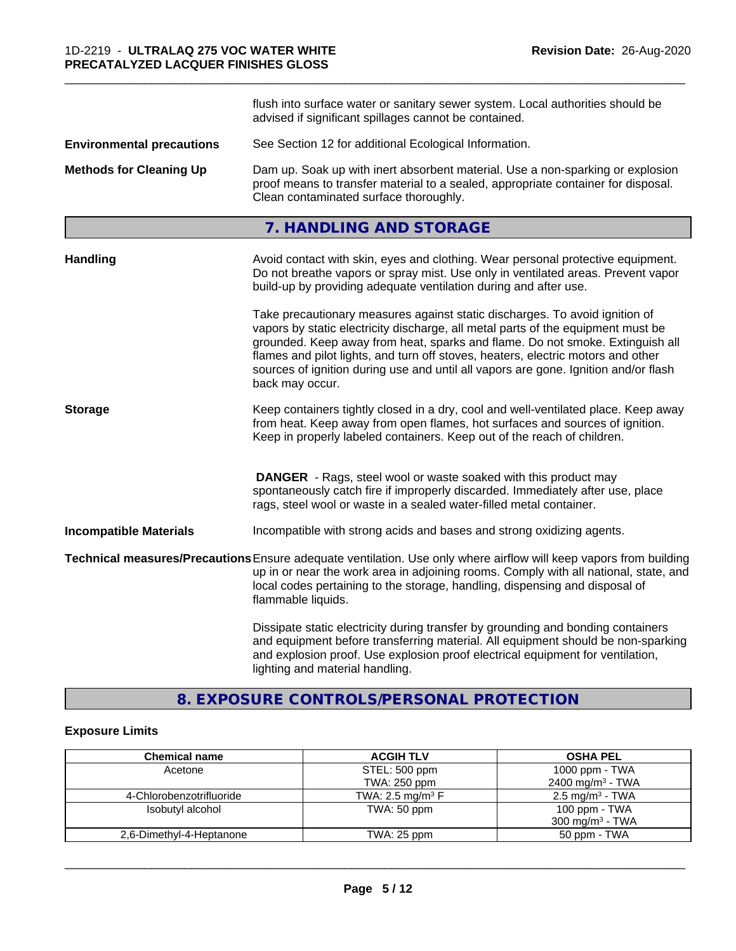|                                  | flush into surface water or sanitary sewer system. Local authorities should be<br>advised if significant spillages cannot be contained.                                                                                                                                                                                                                                                                                                        |  |
|----------------------------------|------------------------------------------------------------------------------------------------------------------------------------------------------------------------------------------------------------------------------------------------------------------------------------------------------------------------------------------------------------------------------------------------------------------------------------------------|--|
| <b>Environmental precautions</b> | See Section 12 for additional Ecological Information.                                                                                                                                                                                                                                                                                                                                                                                          |  |
| <b>Methods for Cleaning Up</b>   | Dam up. Soak up with inert absorbent material. Use a non-sparking or explosion<br>proof means to transfer material to a sealed, appropriate container for disposal.<br>Clean contaminated surface thoroughly.                                                                                                                                                                                                                                  |  |
|                                  | 7. HANDLING AND STORAGE                                                                                                                                                                                                                                                                                                                                                                                                                        |  |
| <b>Handling</b>                  | Avoid contact with skin, eyes and clothing. Wear personal protective equipment.<br>Do not breathe vapors or spray mist. Use only in ventilated areas. Prevent vapor<br>build-up by providing adequate ventilation during and after use.                                                                                                                                                                                                        |  |
|                                  | Take precautionary measures against static discharges. To avoid ignition of<br>vapors by static electricity discharge, all metal parts of the equipment must be<br>grounded. Keep away from heat, sparks and flame. Do not smoke. Extinguish all<br>flames and pilot lights, and turn off stoves, heaters, electric motors and other<br>sources of ignition during use and until all vapors are gone. Ignition and/or flash<br>back may occur. |  |
| <b>Storage</b>                   | Keep containers tightly closed in a dry, cool and well-ventilated place. Keep away<br>from heat. Keep away from open flames, hot surfaces and sources of ignition.<br>Keep in properly labeled containers. Keep out of the reach of children.                                                                                                                                                                                                  |  |
|                                  | <b>DANGER</b> - Rags, steel wool or waste soaked with this product may<br>spontaneously catch fire if improperly discarded. Immediately after use, place<br>rags, steel wool or waste in a sealed water-filled metal container.                                                                                                                                                                                                                |  |
| <b>Incompatible Materials</b>    | Incompatible with strong acids and bases and strong oxidizing agents.                                                                                                                                                                                                                                                                                                                                                                          |  |
|                                  | Technical measures/Precautions Ensure adequate ventilation. Use only where airflow will keep vapors from building<br>up in or near the work area in adjoining rooms. Comply with all national, state, and<br>local codes pertaining to the storage, handling, dispensing and disposal of<br>flammable liquids.                                                                                                                                 |  |
|                                  | Dissipate static electricity during transfer by grounding and bonding containers<br>and equipment before transferring material. All equipment should be non-sparking<br>and explosion proof. Use explosion proof electrical equipment for ventilation,<br>lighting and material handling.                                                                                                                                                      |  |

\_\_\_\_\_\_\_\_\_\_\_\_\_\_\_\_\_\_\_\_\_\_\_\_\_\_\_\_\_\_\_\_\_\_\_\_\_\_\_\_\_\_\_\_\_\_\_\_\_\_\_\_\_\_\_\_\_\_\_\_\_\_\_\_\_\_\_\_\_\_\_\_\_\_\_\_\_\_\_\_\_\_\_\_\_\_\_\_\_\_\_\_\_

# **8. EXPOSURE CONTROLS/PERSONAL PROTECTION**

# **Exposure Limits**

| <b>Chemical name</b>     | <b>ACGIH TLV</b>               | <b>OSHA PEL</b>              |
|--------------------------|--------------------------------|------------------------------|
| Acetone                  | STEL: 500 ppm                  | 1000 ppm - $TWA$             |
|                          | TWA: 250 ppm                   | 2400 mg/m <sup>3</sup> - TWA |
| 4-Chlorobenzotrifluoride | TWA: 2.5 mg/m <sup>3</sup> $F$ | $2.5 \text{ mg/m}^3$ - TWA   |
| Isobutyl alcohol         | TWA: 50 ppm                    | 100 ppm - TWA                |
|                          |                                | 300 mg/m <sup>3</sup> - TWA  |
| 2,6-Dimethyl-4-Heptanone | TWA: 25 ppm                    | 50 ppm - TWA                 |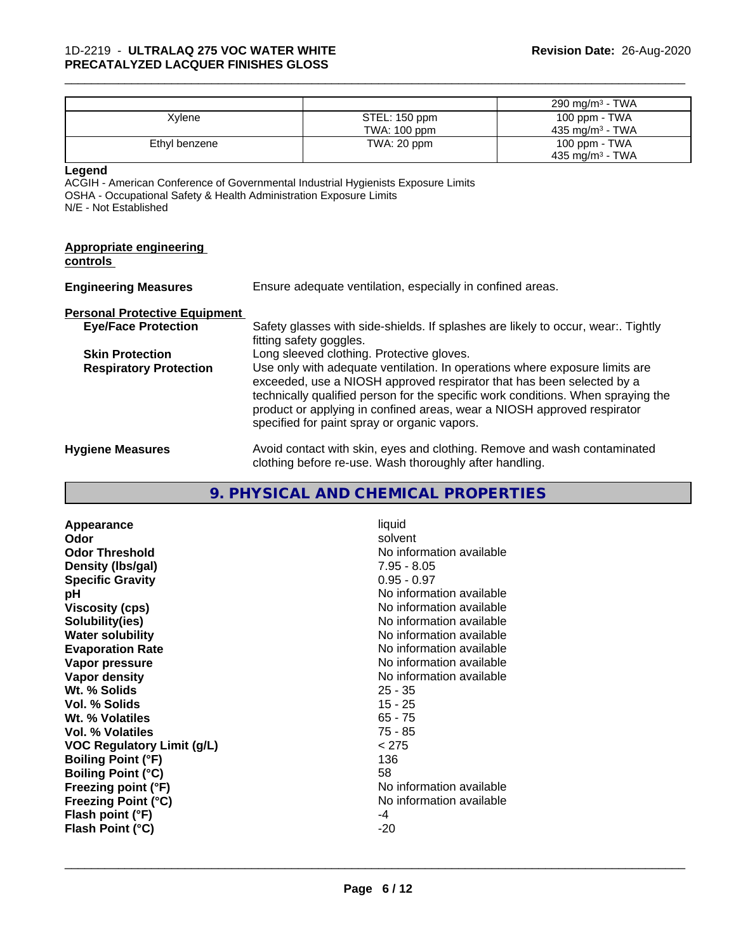|                                                                                                       |                                                                                                                                                                                                                                                                                                                                                                     |                                                                                                              | 290 mg/m <sup>3</sup> - TWA |
|-------------------------------------------------------------------------------------------------------|---------------------------------------------------------------------------------------------------------------------------------------------------------------------------------------------------------------------------------------------------------------------------------------------------------------------------------------------------------------------|--------------------------------------------------------------------------------------------------------------|-----------------------------|
| Xylene                                                                                                |                                                                                                                                                                                                                                                                                                                                                                     | STEL: 150 ppm                                                                                                | 100 ppm - TWA               |
|                                                                                                       |                                                                                                                                                                                                                                                                                                                                                                     | TWA: 100 ppm                                                                                                 | 435 mg/m <sup>3</sup> - TWA |
| Ethyl benzene                                                                                         |                                                                                                                                                                                                                                                                                                                                                                     | TWA: 20 ppm                                                                                                  | 100 ppm - TWA               |
|                                                                                                       |                                                                                                                                                                                                                                                                                                                                                                     |                                                                                                              | 435 mg/m <sup>3</sup> - TWA |
| Legend<br>OSHA - Occupational Safety & Health Administration Exposure Limits<br>N/E - Not Established |                                                                                                                                                                                                                                                                                                                                                                     | ACGIH - American Conference of Governmental Industrial Hygienists Exposure Limits                            |                             |
| <b>Appropriate engineering</b><br><u>controls</u>                                                     |                                                                                                                                                                                                                                                                                                                                                                     |                                                                                                              |                             |
| <b>Engineering Measures</b>                                                                           | Ensure adequate ventilation, especially in confined areas.                                                                                                                                                                                                                                                                                                          |                                                                                                              |                             |
| <b>Personal Protective Equipment</b>                                                                  |                                                                                                                                                                                                                                                                                                                                                                     |                                                                                                              |                             |
| <b>Eye/Face Protection</b>                                                                            |                                                                                                                                                                                                                                                                                                                                                                     | Safety glasses with side-shields. If splashes are likely to occur, wear:. Tightly<br>fitting safety goggles. |                             |
| <b>Skin Protection</b>                                                                                |                                                                                                                                                                                                                                                                                                                                                                     | Long sleeved clothing. Protective gloves.                                                                    |                             |
| <b>Respiratory Protection</b>                                                                         | Use only with adequate ventilation. In operations where exposure limits are<br>exceeded, use a NIOSH approved respirator that has been selected by a<br>technically qualified person for the specific work conditions. When spraying the<br>product or applying in confined areas, wear a NIOSH approved respirator<br>specified for paint spray or organic vapors. |                                                                                                              |                             |
| <b>Hygiene Measures</b>                                                                               | Avoid contact with skin, eyes and clothing. Remove and wash contaminated                                                                                                                                                                                                                                                                                            |                                                                                                              |                             |

clothing before re-use. Wash thoroughly after handling.

\_\_\_\_\_\_\_\_\_\_\_\_\_\_\_\_\_\_\_\_\_\_\_\_\_\_\_\_\_\_\_\_\_\_\_\_\_\_\_\_\_\_\_\_\_\_\_\_\_\_\_\_\_\_\_\_\_\_\_\_\_\_\_\_\_\_\_\_\_\_\_\_\_\_\_\_\_\_\_\_\_\_\_\_\_\_\_\_\_\_\_\_\_

# **9. PHYSICAL AND CHEMICAL PROPERTIES**

| Appearance                        | liquid                   |
|-----------------------------------|--------------------------|
| Odor                              | solvent                  |
| <b>Odor Threshold</b>             | No information available |
| Density (Ibs/gal)                 | $7.95 - 8.05$            |
| <b>Specific Gravity</b>           | $0.95 - 0.97$            |
| рH                                | No information available |
| <b>Viscosity (cps)</b>            | No information available |
| Solubility(ies)                   | No information available |
| <b>Water solubility</b>           | No information available |
| <b>Evaporation Rate</b>           | No information available |
| Vapor pressure                    | No information available |
| Vapor density                     | No information available |
| Wt. % Solids                      | $25 - 35$                |
| Vol. % Solids                     | $15 - 25$                |
| Wt. % Volatiles                   | $65 - 75$                |
| Vol. % Volatiles                  | $75 - 85$                |
| <b>VOC Regulatory Limit (g/L)</b> | < 275                    |
| <b>Boiling Point (°F)</b>         | 136                      |
| <b>Boiling Point (°C)</b>         | 58                       |
| Freezing point (°F)               | No information available |
| <b>Freezing Point (°C)</b>        | No information available |
| Flash point (°F)                  | -4                       |
| Flash Point (°C)                  | $-20$                    |
|                                   |                          |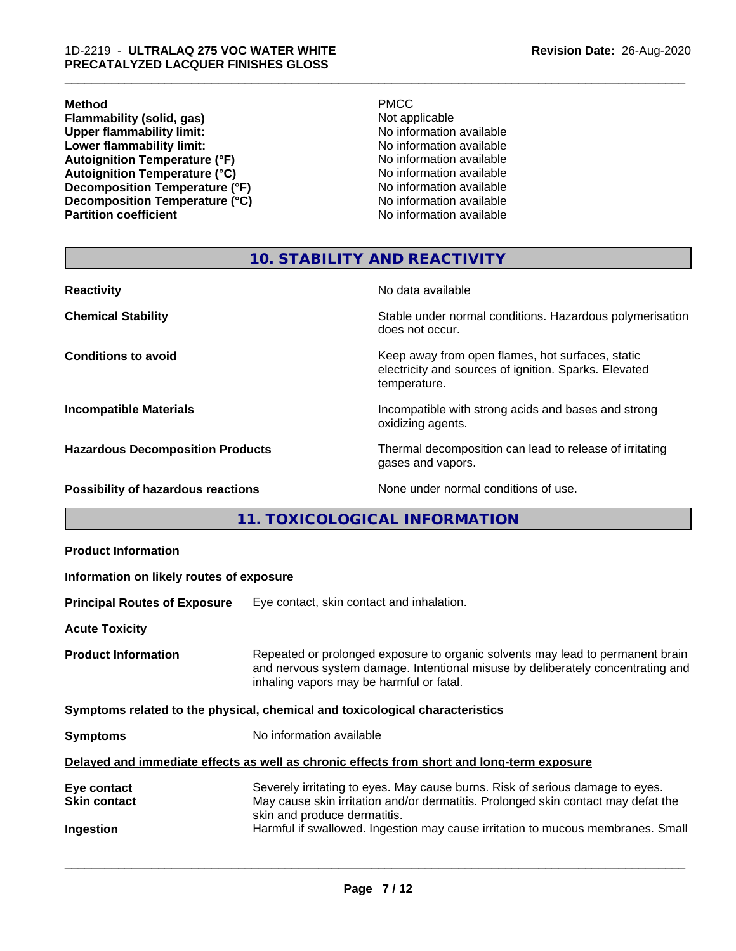#### **Method** PMCC

**Flammability (solid, gas)**<br> **Commability limit:**<br>
Upper flammability limit:<br>
No information available **Upper flammability limit:**<br> **Lower flammability limit:**<br>
No information available<br>
No information available **Lower flammability limit:**<br> **Autoignition Temperature (°F)**<br>
No information available<br>
No information available Autoignition Temperature (°F)<br>
Autoignition Temperature (°C)<br>
No information available **Autoignition Temperature (°C) Decomposition Temperature (°F)**<br> **Decomposition Temperature (°C)** No information available<br>
No information available **Decomposition Temperature (°C)**<br>Partition coefficient

**No information available** 

\_\_\_\_\_\_\_\_\_\_\_\_\_\_\_\_\_\_\_\_\_\_\_\_\_\_\_\_\_\_\_\_\_\_\_\_\_\_\_\_\_\_\_\_\_\_\_\_\_\_\_\_\_\_\_\_\_\_\_\_\_\_\_\_\_\_\_\_\_\_\_\_\_\_\_\_\_\_\_\_\_\_\_\_\_\_\_\_\_\_\_\_\_

# **10. STABILITY AND REACTIVITY**

| <b>Reactivity</b>                       | No data available                                                                                                         |
|-----------------------------------------|---------------------------------------------------------------------------------------------------------------------------|
| <b>Chemical Stability</b>               | Stable under normal conditions. Hazardous polymerisation<br>does not occur.                                               |
| <b>Conditions to avoid</b>              | Keep away from open flames, hot surfaces, static<br>electricity and sources of ignition. Sparks. Elevated<br>temperature. |
| <b>Incompatible Materials</b>           | Incompatible with strong acids and bases and strong<br>oxidizing agents.                                                  |
| <b>Hazardous Decomposition Products</b> | Thermal decomposition can lead to release of irritating<br>gases and vapors.                                              |
| Possibility of hazardous reactions      | None under normal conditions of use.                                                                                      |

**11. TOXICOLOGICAL INFORMATION**

| <b>Product Information</b>                                                                 |                                                                                                                                                                                                               |  |  |
|--------------------------------------------------------------------------------------------|---------------------------------------------------------------------------------------------------------------------------------------------------------------------------------------------------------------|--|--|
| Information on likely routes of exposure                                                   |                                                                                                                                                                                                               |  |  |
| <b>Principal Routes of Exposure</b>                                                        | Eye contact, skin contact and inhalation.                                                                                                                                                                     |  |  |
| <b>Acute Toxicity</b>                                                                      |                                                                                                                                                                                                               |  |  |
| <b>Product Information</b>                                                                 | Repeated or prolonged exposure to organic solvents may lead to permanent brain<br>and nervous system damage. Intentional misuse by deliberately concentrating and<br>inhaling vapors may be harmful or fatal. |  |  |
| Symptoms related to the physical, chemical and toxicological characteristics               |                                                                                                                                                                                                               |  |  |
| <b>Symptoms</b>                                                                            | No information available                                                                                                                                                                                      |  |  |
| Delayed and immediate effects as well as chronic effects from short and long-term exposure |                                                                                                                                                                                                               |  |  |
| Eye contact<br><b>Skin contact</b>                                                         | Severely irritating to eyes. May cause burns. Risk of serious damage to eyes.<br>May cause skin irritation and/or dermatitis. Prolonged skin contact may defat the<br>skin and produce dermatitis.            |  |  |
| Ingestion                                                                                  | Harmful if swallowed. Ingestion may cause irritation to mucous membranes. Small                                                                                                                               |  |  |
|                                                                                            |                                                                                                                                                                                                               |  |  |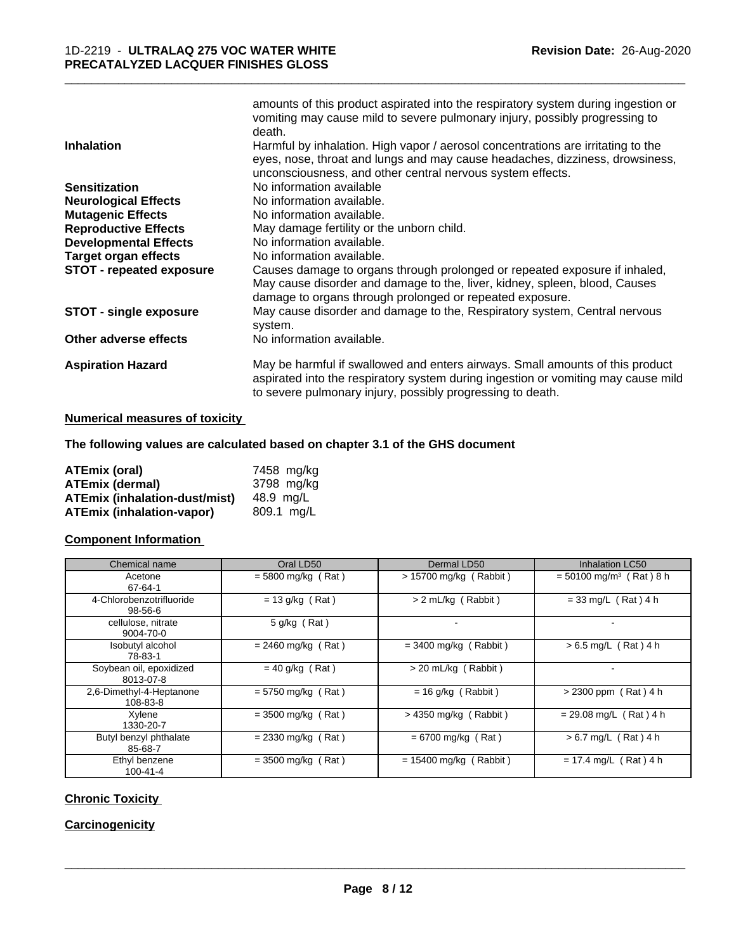| <b>Inhalation</b>               | amounts of this product aspirated into the respiratory system during ingestion or<br>vomiting may cause mild to severe pulmonary injury, possibly progressing to<br>death.<br>Harmful by inhalation. High vapor / aerosol concentrations are irritating to the<br>eyes, nose, throat and lungs and may cause headaches, dizziness, drowsiness, |
|---------------------------------|------------------------------------------------------------------------------------------------------------------------------------------------------------------------------------------------------------------------------------------------------------------------------------------------------------------------------------------------|
|                                 | unconsciousness, and other central nervous system effects.                                                                                                                                                                                                                                                                                     |
| <b>Sensitization</b>            | No information available                                                                                                                                                                                                                                                                                                                       |
| <b>Neurological Effects</b>     | No information available.                                                                                                                                                                                                                                                                                                                      |
| <b>Mutagenic Effects</b>        | No information available.                                                                                                                                                                                                                                                                                                                      |
| <b>Reproductive Effects</b>     | May damage fertility or the unborn child.                                                                                                                                                                                                                                                                                                      |
| <b>Developmental Effects</b>    | No information available.                                                                                                                                                                                                                                                                                                                      |
| <b>Target organ effects</b>     | No information available.                                                                                                                                                                                                                                                                                                                      |
| <b>STOT - repeated exposure</b> | Causes damage to organs through prolonged or repeated exposure if inhaled,<br>May cause disorder and damage to the, liver, kidney, spleen, blood, Causes<br>damage to organs through prolonged or repeated exposure.                                                                                                                           |
| <b>STOT - single exposure</b>   | May cause disorder and damage to the, Respiratory system, Central nervous<br>system.                                                                                                                                                                                                                                                           |
| Other adverse effects           | No information available.                                                                                                                                                                                                                                                                                                                      |
| <b>Aspiration Hazard</b>        | May be harmful if swallowed and enters airways. Small amounts of this product<br>aspirated into the respiratory system during ingestion or vomiting may cause mild<br>to severe pulmonary injury, possibly progressing to death.                                                                                                               |

\_\_\_\_\_\_\_\_\_\_\_\_\_\_\_\_\_\_\_\_\_\_\_\_\_\_\_\_\_\_\_\_\_\_\_\_\_\_\_\_\_\_\_\_\_\_\_\_\_\_\_\_\_\_\_\_\_\_\_\_\_\_\_\_\_\_\_\_\_\_\_\_\_\_\_\_\_\_\_\_\_\_\_\_\_\_\_\_\_\_\_\_\_

#### **Numerical measures of toxicity**

#### **The following values are calculated based on chapter 3.1 of the GHS document**

| <b>ATEmix (oral)</b>                 | 7458 mg/ka |
|--------------------------------------|------------|
| <b>ATEmix (dermal)</b>               | 3798 mg/kg |
| <b>ATEmix (inhalation-dust/mist)</b> | 48.9 ma/L  |
| <b>ATEmix (inhalation-vapor)</b>     | 809.1 ma/L |

#### **Component Information**

| Chemical name                        | Oral LD50            | Dermal LD50              | <b>Inhalation LC50</b>                |
|--------------------------------------|----------------------|--------------------------|---------------------------------------|
| Acetone<br>67-64-1                   | $= 5800$ mg/kg (Rat) | $> 15700$ mg/kg (Rabbit) | $= 50100$ mg/m <sup>3</sup> (Rat) 8 h |
| 4-Chlorobenzotrifluoride<br>98-56-6  | $= 13$ g/kg (Rat)    | > 2 mL/kg (Rabbit)       | $= 33$ mg/L (Rat) 4 h                 |
| cellulose, nitrate<br>9004-70-0      | $5$ g/kg (Rat)       | $\blacksquare$           |                                       |
| Isobutyl alcohol<br>78-83-1          | $= 2460$ mg/kg (Rat) | $= 3400$ mg/kg (Rabbit)  | $> 6.5$ mg/L (Rat) 4 h                |
| Soybean oil, epoxidized<br>8013-07-8 | $= 40$ g/kg (Rat)    | > 20 mL/kg (Rabbit)      |                                       |
| 2.6-Dimethyl-4-Heptanone<br>108-83-8 | $= 5750$ mg/kg (Rat) | $= 16$ g/kg (Rabbit)     | $> 2300$ ppm (Rat) 4 h                |
| Xylene<br>1330-20-7                  | $= 3500$ mg/kg (Rat) | $>$ 4350 mg/kg (Rabbit)  | $= 29.08$ mg/L (Rat) 4 h              |
| Butyl benzyl phthalate<br>85-68-7    | $= 2330$ mg/kg (Rat) | $= 6700$ mg/kg (Rat)     | $> 6.7$ mg/L (Rat) 4 h                |
| Ethyl benzene<br>$100 - 41 - 4$      | $=$ 3500 mg/kg (Rat) | $= 15400$ mg/kg (Rabbit) | $= 17.4$ mg/L (Rat) 4 h               |

#### **Chronic Toxicity**

# **Carcinogenicity**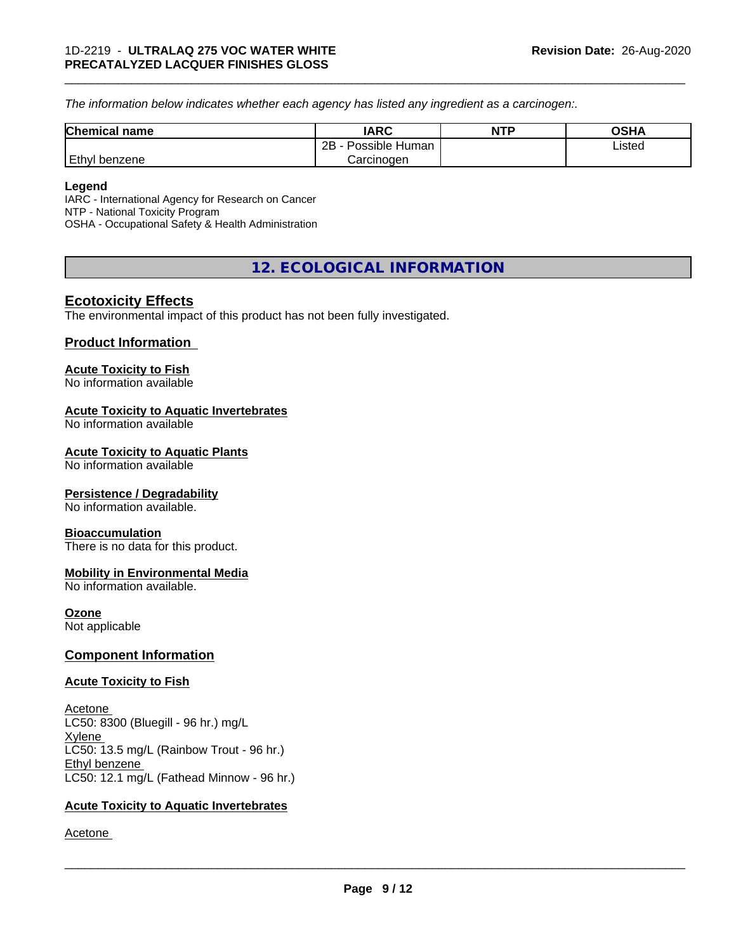*The information below indicateswhether each agency has listed any ingredient as a carcinogen:.*

| <b>Chemical name</b> | <b>IARC</b>                    | NTP | ດເ⊔∧<br>∪J∏≁ |  |
|----------------------|--------------------------------|-----|--------------|--|
|                      | .<br>2B<br>Possible<br>: Human |     | ∟isted       |  |
| Ethyl<br>l benzene   | Carcinogen                     |     |              |  |

\_\_\_\_\_\_\_\_\_\_\_\_\_\_\_\_\_\_\_\_\_\_\_\_\_\_\_\_\_\_\_\_\_\_\_\_\_\_\_\_\_\_\_\_\_\_\_\_\_\_\_\_\_\_\_\_\_\_\_\_\_\_\_\_\_\_\_\_\_\_\_\_\_\_\_\_\_\_\_\_\_\_\_\_\_\_\_\_\_\_\_\_\_

#### **Legend**

IARC - International Agency for Research on Cancer NTP - National Toxicity Program OSHA - Occupational Safety & Health Administration

# **12. ECOLOGICAL INFORMATION**

# **Ecotoxicity Effects**

The environmental impact of this product has not been fully investigated.

#### **Product Information**

#### **Acute Toxicity to Fish**

No information available

#### **Acute Toxicity to Aquatic Invertebrates**

No information available

#### **Acute Toxicity to Aquatic Plants**

No information available

#### **Persistence / Degradability**

No information available.

#### **Bioaccumulation**

There is no data for this product.

#### **Mobility in Environmental Media**

No information available.

#### **Ozone**

Not applicable

#### **Component Information**

#### **Acute Toxicity to Fish**

Acetone LC50: 8300 (Bluegill - 96 hr.) mg/L Xylene LC50: 13.5 mg/L (Rainbow Trout - 96 hr.) Ethyl benzene LC50: 12.1 mg/L (Fathead Minnow - 96 hr.)

#### **Acute Toxicity to Aquatic Invertebrates**

Acetone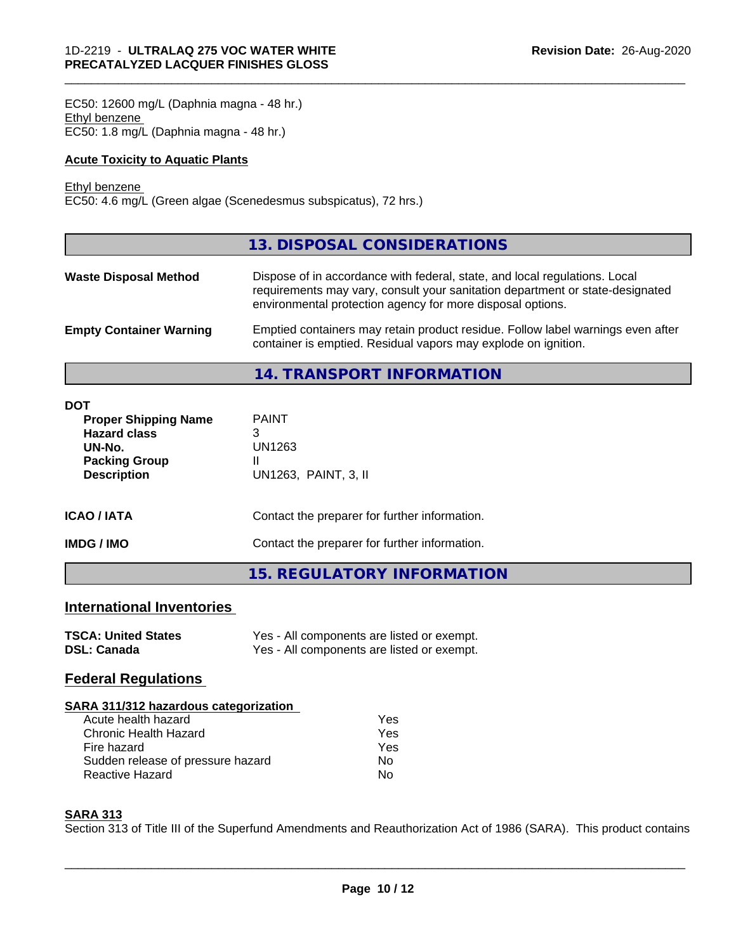EC50: 12600 mg/L (Daphnia magna - 48 hr.) Ethyl benzene EC50: 1.8 mg/L (Daphnia magna - 48 hr.)

#### **Acute Toxicity to Aquatic Plants**

#### Ethyl benzene

EC50: 4.6 mg/L (Green algae (Scenedesmus subspicatus), 72 hrs.)

|                                | 13. DISPOSAL CONSIDERATIONS                                                                                                                                                                                               |
|--------------------------------|---------------------------------------------------------------------------------------------------------------------------------------------------------------------------------------------------------------------------|
| <b>Waste Disposal Method</b>   | Dispose of in accordance with federal, state, and local regulations. Local<br>requirements may vary, consult your sanitation department or state-designated<br>environmental protection agency for more disposal options. |
| <b>Empty Container Warning</b> | Emptied containers may retain product residue. Follow label warnings even after<br>container is emptied. Residual vapors may explode on ignition.                                                                         |

\_\_\_\_\_\_\_\_\_\_\_\_\_\_\_\_\_\_\_\_\_\_\_\_\_\_\_\_\_\_\_\_\_\_\_\_\_\_\_\_\_\_\_\_\_\_\_\_\_\_\_\_\_\_\_\_\_\_\_\_\_\_\_\_\_\_\_\_\_\_\_\_\_\_\_\_\_\_\_\_\_\_\_\_\_\_\_\_\_\_\_\_\_

**14. TRANSPORT INFORMATION**

| <b>DOT</b><br><b>Proper Shipping Name</b><br><b>Hazard class</b><br>UN-No.<br><b>Packing Group</b><br><b>Description</b> | <b>PAINT</b><br>3<br>UN1263<br>Ш<br>UN1263, PAINT, 3, II |  |  |
|--------------------------------------------------------------------------------------------------------------------------|----------------------------------------------------------|--|--|
| <b>ICAO/IATA</b>                                                                                                         | Contact the preparer for further information.            |  |  |
| <b>IMDG/IMO</b>                                                                                                          | Contact the preparer for further information.            |  |  |
|                                                                                                                          | <b>15. REGULATORY INFORMATION</b>                        |  |  |

# **International Inventories**

| <b>TSCA: United States</b> | Yes - All components are listed or exempt. |
|----------------------------|--------------------------------------------|
| <b>DSL: Canada</b>         | Yes - All components are listed or exempt. |

# **Federal Regulations**

| SARA 311/312 hazardous categorization |     |  |
|---------------------------------------|-----|--|
| Acute health hazard                   | Yes |  |
| Chronic Health Hazard                 | Yes |  |
| Fire hazard                           | Yes |  |
| Sudden release of pressure hazard     | No  |  |
| <b>Reactive Hazard</b>                | N٥  |  |

#### **SARA 313**

Section 313 of Title III of the Superfund Amendments and Reauthorization Act of 1986 (SARA). This product contains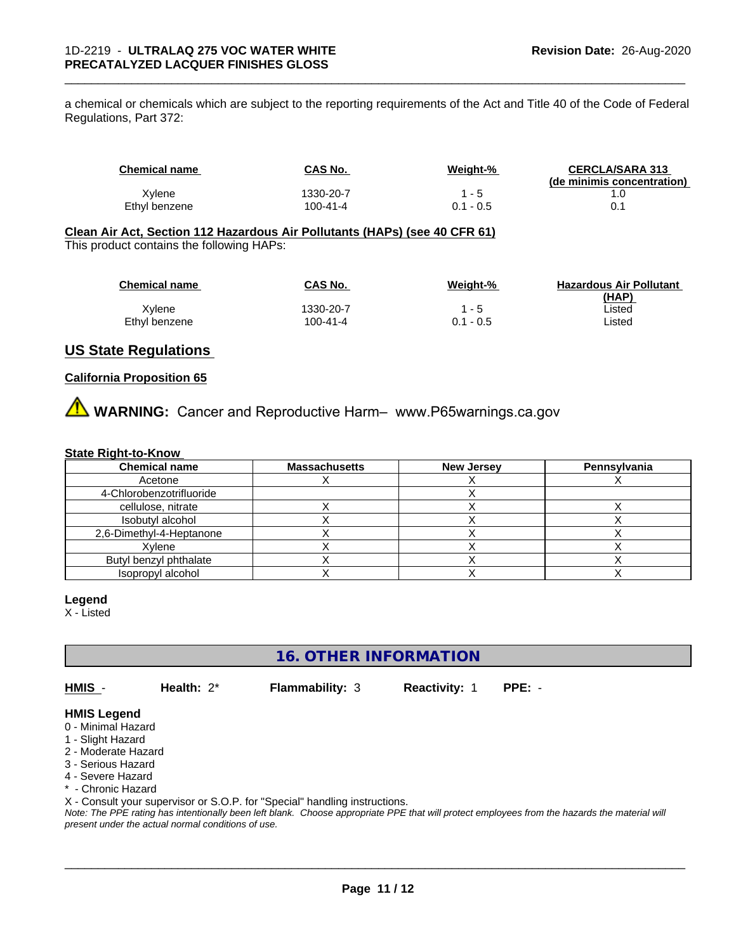a chemical or chemicals which are subject to the reporting requirements of the Act and Title 40 of the Code of Federal Regulations, Part 372:

| Chemical name | <b>CAS No.</b> | Weight-%    | <b>CERCLA/SARA 313</b><br>(de minimis concentration) |
|---------------|----------------|-------------|------------------------------------------------------|
| Xylene        | 1330-20-7      | - 5         |                                                      |
| Ethyl benzene | $100 - 41 - 4$ | $0.1 - 0.5$ |                                                      |

\_\_\_\_\_\_\_\_\_\_\_\_\_\_\_\_\_\_\_\_\_\_\_\_\_\_\_\_\_\_\_\_\_\_\_\_\_\_\_\_\_\_\_\_\_\_\_\_\_\_\_\_\_\_\_\_\_\_\_\_\_\_\_\_\_\_\_\_\_\_\_\_\_\_\_\_\_\_\_\_\_\_\_\_\_\_\_\_\_\_\_\_\_

#### **Clean Air Act,Section 112 Hazardous Air Pollutants (HAPs) (see 40 CFR 61)** This product contains the following HAPs:

| <b>Chemical name</b> | CAS No.   | Weight-%    | <b>Hazardous Air Pollutant</b> |
|----------------------|-----------|-------------|--------------------------------|
|                      |           |             | (HAP)                          |
| Xvlene               | 1330-20-7 | 1 - 5       | ∟isted                         |
| Ethyl benzene        | 100-41-4  | $0.1 - 0.5$ | ∟isted                         |

#### **US State Regulations**

#### **California Proposition 65**

**AVIMARNING:** Cancer and Reproductive Harm– www.P65warnings.ca.gov

#### **State Right-to-Know**

| <b>Chemical name</b>     | <b>Massachusetts</b> | <b>New Jersey</b> | Pennsylvania |
|--------------------------|----------------------|-------------------|--------------|
| Acetone                  |                      |                   |              |
| 4-Chlorobenzotrifluoride |                      |                   |              |
| cellulose, nitrate       |                      |                   |              |
| Isobutyl alcohol         |                      |                   |              |
| 2,6-Dimethyl-4-Heptanone |                      |                   |              |
| Xvlene                   |                      |                   |              |
| Butyl benzyl phthalate   |                      |                   |              |
| Isopropyl alcohol        |                      |                   |              |

#### **Legend**

X - Listed

**16. OTHER INFORMATION**

**HMIS** - **Health:** 2\* **Flammability:** 3 **Reactivity:** 1 **PPE:** -

 $\overline{\phantom{a}}$  ,  $\overline{\phantom{a}}$  ,  $\overline{\phantom{a}}$  ,  $\overline{\phantom{a}}$  ,  $\overline{\phantom{a}}$  ,  $\overline{\phantom{a}}$  ,  $\overline{\phantom{a}}$  ,  $\overline{\phantom{a}}$  ,  $\overline{\phantom{a}}$  ,  $\overline{\phantom{a}}$  ,  $\overline{\phantom{a}}$  ,  $\overline{\phantom{a}}$  ,  $\overline{\phantom{a}}$  ,  $\overline{\phantom{a}}$  ,  $\overline{\phantom{a}}$  ,  $\overline{\phantom{a}}$ 

#### **HMIS Legend**

- 0 Minimal Hazard
- 1 Slight Hazard
- 2 Moderate Hazard
- 3 Serious Hazard
- 4 Severe Hazard
- \* Chronic Hazard

X - Consult your supervisor or S.O.P. for "Special" handling instructions.

*Note: The PPE rating has intentionally been left blank. Choose appropriate PPE that will protect employees from the hazards the material will present under the actual normal conditions of use.*